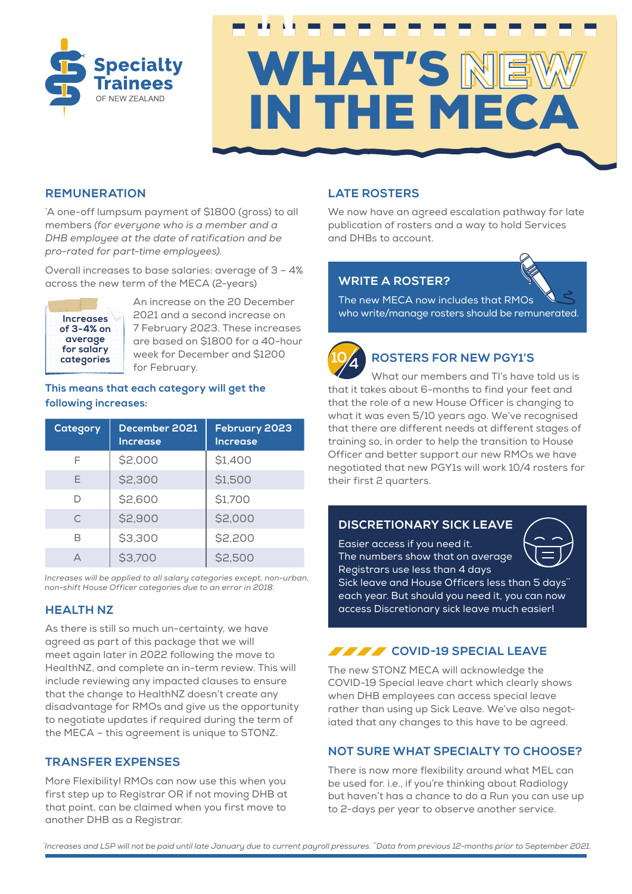



#### **REMUNERATION**

\* A one-off lumpsum payment of \$1800 (gross) to all members *(for everyone who is a member and a DHB employee at the date of ratification and be pro-rated for part-time employees)*.

Overall increases to base salaries: average of 3 – 4% across the new term of the MECA (2-years)



An increase on the 20 December 2021 and a second increase on 7 February 2023. These increases are based on \$1800 for a 40-hour week for December and \$1200 for February.

#### **This means that each category will get the following increases:**

| Category | December 2021<br><b>Increase</b> | February 2023<br><b>Increase</b> |
|----------|----------------------------------|----------------------------------|
| F        | \$2,000                          | \$1,400                          |
| E        | \$2,300                          | \$1,500                          |
| D        | \$2,600                          | \$1,700                          |
| C        | \$2,900                          | \$2,000                          |
| R        | \$3,300                          | \$2,200                          |
|          | \$3,700                          | \$2,500                          |

*Increases will be applied to all salary categories except, non-urban, non-shift House Officer categories due to an error in 2018.*

#### **HEALTH NZ**

As there is still so much un-certainty, we have agreed as part of this package that we will meet again later in 2022 following the move to HealthNZ, and complete an in-term review. This will include reviewing any impacted clauses to ensure that the change to HealthNZ doesn't create any disadvantage for RMOs and give us the opportunity to negotiate updates if required during the term of the MECA – this agreement is unique to STONZ.

#### **TRANSFER EXPENSES**

More Flexibility! RMOs can now use this when you first step up to Registrar OR if not moving DHB at that point, can be claimed when you first move to another DHB as a Registrar.

# **LATE ROSTERS**

We now have an agreed escalation pathway for late publication of rosters and a way to hold Services and DHBs to account.

# **WRITE A ROSTER?**

 The new MECA now includes that RMOs who write/manage rosters should be remunerated.



# **ROSTERS FOR NEW PGY1'S**

What our members and TI's have told us is that it takes about 6-months to find your feet and that the role of a new House Officer is changing to what it was even 5/10 years ago. We've recognised that there are different needs at different stages of training so, in order to help the transition to House Officer and better support our new RMOs we have negotiated that new PGY1s will work 10/4 rosters for their first 2 quarters.

#### **DISCRETIONARY SICK LEAVE**

 Easier access if you need it. The numbers show that on average Registrars use less than 4 days



Sick leave and House Officers less than 5 days<sup>\*</sup> each year. But should you need it, you can now access Discretionary sick leave much easier!

# *COVID-19 SPECIAL LEAVE*

The new STONZ MECA will acknowledge the COVID-19 Special leave chart which clearly shows when DHB employees can access special leave rather than using up Sick Leave. We've also negotiated that any changes to this have to be agreed.

# **NOT SURE WHAT SPECIALTY TO CHOOSE?**

There is now more flexibility around what MEL can be used for. i.e., if you're thinking about Radiology but haven't has a chance to do a Run you can use up to 2-days per year to observe another service.

*\* Increases and LSP will not be paid until late January due to current payroll pressures. \*\*Data from previous 12-months prior to September 2021.*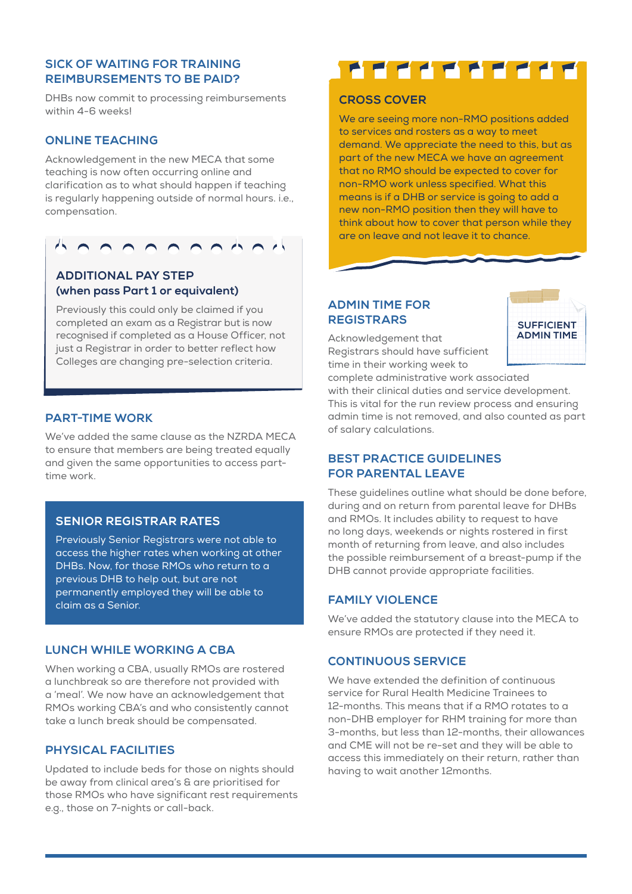## **SICK OF WAITING FOR TRAINING REIMBURSEMENTS TO BE PAID?**

DHBs now commit to processing reimbursements within 4-6 weeks!

#### **ONLINE TEACHING**

Acknowledgement in the new MECA that some teaching is now often occurring online and clarification as to what should happen if teaching is regularly happening outside of normal hours. i.e., compensation.



# **ADDITIONAL PAY STEP (when pass Part 1 or equivalent)**

 Previously this could only be claimed if you completed an exam as a Registrar but is now recognised if completed as a House Officer, not just a Registrar in order to better reflect how Colleges are changing pre-selection criteria.

#### **PART-TIME WORK**

We've added the same clause as the NZRDA MECA to ensure that members are being treated equally and given the same opportunities to access parttime work.

# **SENIOR REGISTRAR RATES**

 Previously Senior Registrars were not able to access the higher rates when working at other DHBs. Now, for those RMOs who return to a previous DHB to help out, but are not permanently employed they will be able to claim as a Senior.

# **LUNCH WHILE WORKING A CBA**

When working a CBA, usually RMOs are rostered a lunchbreak so are therefore not provided with a 'meal'. We now have an acknowledgement that RMOs working CBA's and who consistently cannot take a lunch break should be compensated.

# **PHYSICAL FACILITIES**

Updated to include beds for those on nights should be away from clinical area's & are prioritised for those RMOs who have significant rest requirements e.g., those on 7-nights or call-back.

# <u>FFFFFFFff</u>

## **CROSS COVER**

 We are seeing more non-RMO positions added to services and rosters as a way to meet demand. We appreciate the need to this, but as part of the new MECA we have an agreement that no RMO should be expected to cover for non-RMO work unless specified. What this means is if a DHB or service is going to add a new non-RMO position then they will have to think about how to cover that person while they are on leave and not leave it to chance.

# **ADMIN TIME FOR REGISTRARS**

Acknowledgement that Registrars should have sufficient time in their working week to



complete administrative work associated with their clinical duties and service development. This is vital for the run review process and ensuring admin time is not removed, and also counted as part of salary calculations.

### **BEST PRACTICE GUIDELINES FOR PARENTAL LEAVE**

These guidelines outline what should be done before, during and on return from parental leave for DHBs and RMOs. It includes ability to request to have no long days, weekends or nights rostered in first month of returning from leave, and also includes the possible reimbursement of a breast-pump if the DHB cannot provide appropriate facilities.

# **FAMILY VIOLENCE**

We've added the statutory clause into the MECA to ensure RMOs are protected if they need it.

#### **CONTINUOUS SERVICE**

We have extended the definition of continuous service for Rural Health Medicine Trainees to 12-months. This means that if a RMO rotates to a non-DHB employer for RHM training for more than 3-months, but less than 12-months, their allowances and CME will not be re-set and they will be able to access this immediately on their return, rather than having to wait another 12months.